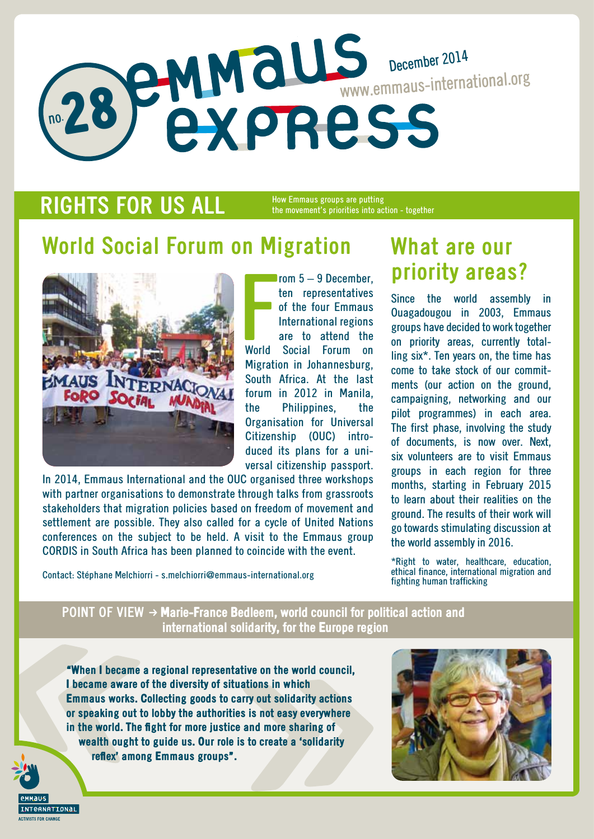# no. 28 December 2014 www.emmaus-international.org

## **RIGHTS FOR US ALL**

How Emmaus groups are putting the movement's priorities into action - together

# **World Social Forum on Migration**



**Formula**<br>World rom 5 – 9 December, ten representatives of the four Emmaus International regions are to attend the World Social Forum on Migration in Johannesburg, South Africa. At the last forum in 2012 in Manila, the Philippines, the Organisation for Universal Citizenship (OUC) introduced its plans for a universal citizenship passport.

In 2014, Emmaus International and the OUC organised three workshops with partner organisations to demonstrate through talks from grassroots stakeholders that migration policies based on freedom of movement and settlement are possible. They also called for a cycle of United Nations conferences on the subject to be held. A visit to the Emmaus group CORDIS in South Africa has been planned to coincide with the event.

Contact: Stéphane Melchiorri - s.melchiorri@emmaus-international.org

## **What are our priority areas?**

Since the world assembly in Ouagadougou in 2003, Emmaus groups have decided to work together on priority areas, currently totalling six\*. Ten years on, the time has come to take stock of our commitments (our action on the ground, campaigning, networking and our pilot programmes) in each area. The first phase, involving the study of documents, is now over. Next, six volunteers are to visit Emmaus groups in each region for three months, starting in February 2015 to learn about their realities on the ground. The results of their work will go towards stimulating discussion at the world assembly in 2016.

\*Right to water, healthcare, education, ethical finance, international migration and fighting human trafficking

**POINT OF VIEW**  $\rightarrow$  **Marie-France Bedleem, world council for political action and** international solidarity, for the Europe region

"When I became a regional representative on the world council, I became aware of the diversity of situations in which Emmaus works. Collecting goods to carry out solidarity actions or speaking out to lobby the authorities is not easy everywhere in the world. The fight for more justice and more sharing of wealth ought to guide us. Our role is to create a 'solidarity reflex' among Emmaus groups".



*<u><u><b>CANATIONAL</u>*</u></u>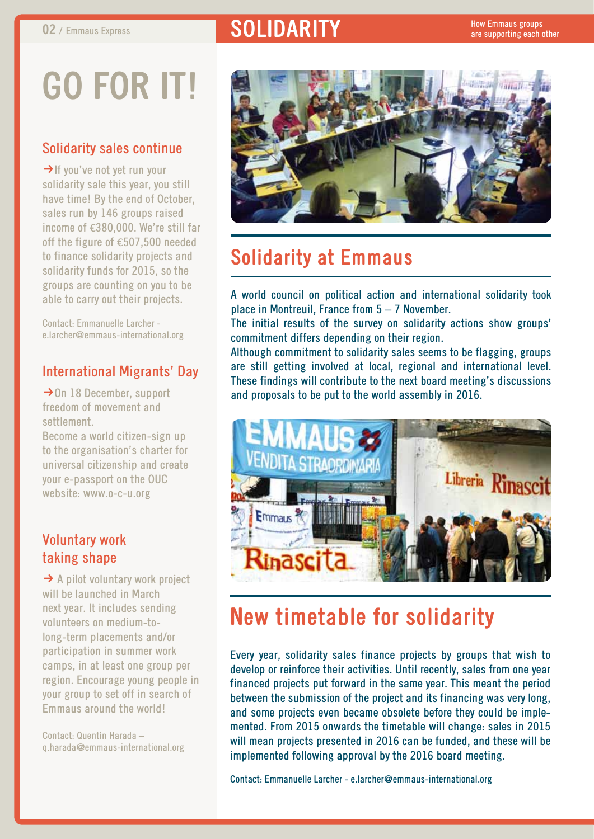## **02** / Emmaus Express **solution in the SOLIDARITY**

# **Go for it!**

#### Solidarity sales continue

 $\rightarrow$  If you've not yet run your solidarity sale this year, you still have time! By the end of October, sales run by 146 groups raised income of €380,000. We're still far off the figure of €507,500 needed to finance solidarity projects and solidarity funds for 2015, so the groups are counting on you to be able to carry out their projects.

Contact: Emmanuelle Larcher e.larcher@emmaus-international.org

#### International Migrants' Day

 $\rightarrow$  On 18 December, support freedom of movement and settlement.

Become a world citizen-sign up to the organisation's charter for universal citizenship and create your e-passport on the OUC website: www.o-c-u.org

#### Voluntary work taking shape

 $\rightarrow$  A pilot voluntary work project will be launched in March next year. It includes sending volunteers on medium-tolong-term placements and/or participation in summer work camps, in at least one group per region. Encourage young people in your group to set off in search of Emmaus around the world!

Contact: Quentin Harada – q.harada@emmaus-international.org



### **Solidarity at Emmaus**

A world council on political action and international solidarity took place in Montreuil, France from 5 – 7 November.

The initial results of the survey on solidarity actions show groups' commitment differs depending on their region.

Although commitment to solidarity sales seems to be flagging, groups are still getting involved at local, regional and international level. These findings will contribute to the next board meeting's discussions and proposals to be put to the world assembly in 2016.



# **New timetable for solidarity**

Every year, solidarity sales finance projects by groups that wish to develop or reinforce their activities. Until recently, sales from one year financed projects put forward in the same year. This meant the period between the submission of the project and its financing was very long, and some projects even became obsolete before they could be implemented. From 2015 onwards the timetable will change: sales in 2015 will mean projects presented in 2016 can be funded, and these will be implemented following approval by the 2016 board meeting.

Contact: Emmanuelle Larcher - e.larcher@emmaus-international.org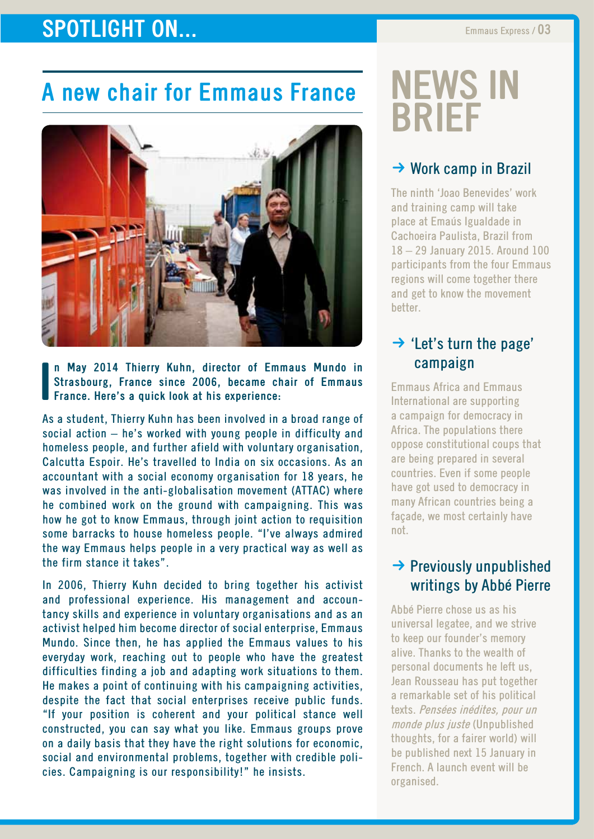## **SPOTLIGHT ON...** Emmaus Express / 03

# **A new chair for Emmaus France**



**I n May 2014 Thierry Kuhn, director of Emmaus Mundo in Strasbourg, France since 2006, became chair of Emmaus France. Here's a quick look at his experience:**

As a student, Thierry Kuhn has been involved in a broad range of social action – he's worked with young people in difficulty and homeless people, and further afield with voluntary organisation, Calcutta Espoir. He's travelled to India on six occasions. As an accountant with a social economy organisation for 18 years, he was involved in the anti-globalisation movement (ATTAC) where he combined work on the ground with campaigning. This was how he got to know Emmaus, through joint action to requisition some barracks to house homeless people. "I've always admired the way Emmaus helps people in a very practical way as well as the firm stance it takes".

In 2006, Thierry Kuhn decided to bring together his activist and professional experience. His management and accountancy skills and experience in voluntary organisations and as an activist helped him become director of social enterprise, Emmaus Mundo. Since then, he has applied the Emmaus values to his everyday work, reaching out to people who have the greatest difficulties finding a job and adapting work situations to them. He makes a point of continuing with his campaigning activities, despite the fact that social enterprises receive public funds. "If your position is coherent and your political stance well constructed, you can say what you like. Emmaus groups prove on a daily basis that they have the right solutions for economic, social and environmental problems, together with credible policies. Campaigning is our responsibility!" he insists.

# **news in brief**

#### $\rightarrow$  Work camp in Brazil

The ninth 'Joao Benevides' work and training camp will take place at Emaús Igualdade in Cachoeira Paulista, Brazil from 18 – 29 January 2015. Around 100 participants from the four Emmaus regions will come together there and get to know the movement better.

#### $\rightarrow$  'Let's turn the page' campaign

Emmaus Africa and Emmaus International are supporting a campaign for democracy in Africa. The populations there oppose constitutional coups that are being prepared in several countries. Even if some people have got used to democracy in many African countries being a façade, we most certainly have not.

#### $\rightarrow$  Previously unpublished writings by Abbé Pierre

Abbé Pierre chose us as his universal legatee, and we strive to keep our founder's memory alive. Thanks to the wealth of personal documents he left us, Jean Rousseau has put together a remarkable set of his political texts. Pensées inédites, pour un monde plus juste (Unpublished thoughts, for a fairer world) will be published next 15 January in French. A launch event will be organised.